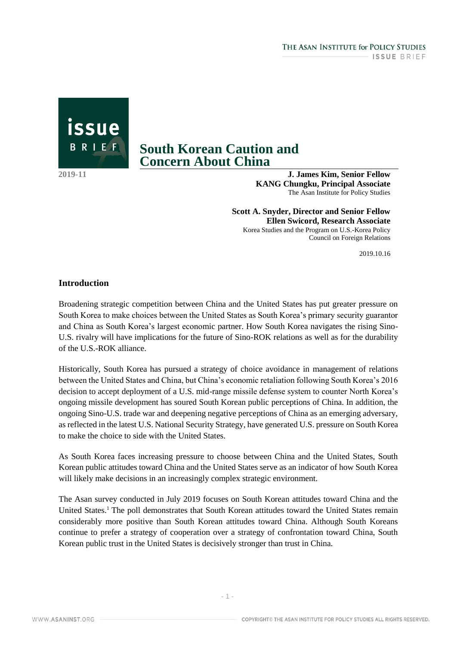issue BRIEF

# **South Korean Caution and Concern About China**

**2019-11**

**J. James Kim, Senior Fellow KANG Chungku, Principal Associate** The Asan Institute for Policy Studies

**Scott A. Snyder, Director and Senior Fellow Ellen Swicord, Research Associate** Korea Studies and the Program on U.S.-Korea Policy Council on Foreign Relations

2019.10.16

## **Introduction**

Broadening strategic competition between China and the United States has put greater pressure on South Korea to make choices between the United States as South Korea's primary security guarantor and China as South Korea's largest economic partner. How South Korea navigates the rising Sino-U.S. rivalry will have implications for the future of Sino-ROK relations as well as for the durability of the U.S.-ROK alliance.

Historically, South Korea has pursued a strategy of choice avoidance in management of relations between the United States and China, but China's economic retaliation following South Korea's 2016 decision to accept deployment of a U.S. mid-range missile defense system to counter North Korea's ongoing missile development has soured South Korean public perceptions of China. In addition, the ongoing Sino-U.S. trade war and deepening negative perceptions of China as an emerging adversary, as reflected in the latest U.S. National Security Strategy, have generated U.S. pressure on South Korea to make the choice to side with the United States.

As South Korea faces increasing pressure to choose between China and the United States, South Korean public attitudes toward China and the United States serve as an indicator of how South Korea will likely make decisions in an increasingly complex strategic environment.

The Asan survey conducted in July 2019 focuses on South Korean attitudes toward China and the United States.<sup>1</sup> The poll demonstrates that South Korean attitudes toward the United States remain considerably more positive than South Korean attitudes toward China. Although South Koreans continue to prefer a strategy of cooperation over a strategy of confrontation toward China, South Korean public trust in the United States is decisively stronger than trust in China.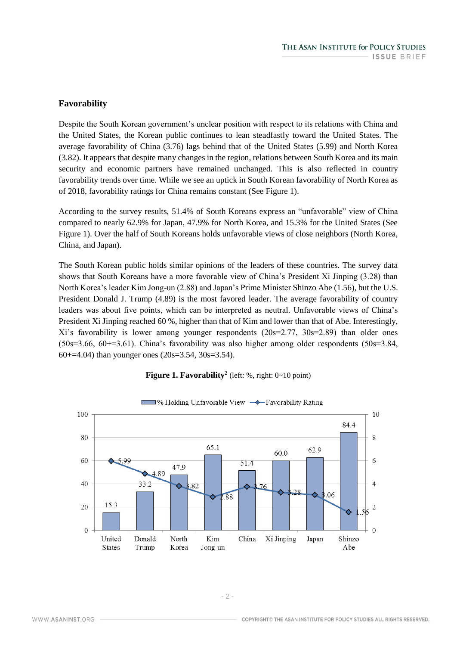# **Favorability**

Despite the South Korean government's unclear position with respect to its relations with China and the United States, the Korean public continues to lean steadfastly toward the United States. The average favorability of China (3.76) lags behind that of the United States (5.99) and North Korea (3.82). It appears that despite many changes in the region, relations between South Korea and its main security and economic partners have remained unchanged. This is also reflected in country favorability trends over time. While we see an uptick in South Korean favorability of North Korea as of 2018, favorability ratings for China remains constant (See Figure 1).

According to the survey results, 51.4% of South Koreans express an "unfavorable" view of China compared to nearly 62.9% for Japan, 47.9% for North Korea, and 15.3% for the United States (See Figure 1). Over the half of South Koreans holds unfavorable views of close neighbors (North Korea, China, and Japan).

The South Korean public holds similar opinions of the leaders of these countries. The survey data shows that South Koreans have a more favorable view of China's President Xi Jinping (3.28) than North Korea's leader Kim Jong-un (2.88) and Japan's Prime Minister Shinzo Abe (1.56), but the U.S. President Donald J. Trump (4.89) is the most favored leader. The average favorability of country leaders was about five points, which can be interpreted as neutral. Unfavorable views of China's President Xi Jinping reached 60 %, higher than that of Kim and lower than that of Abe. Interestingly, Xi's favorability is lower among younger respondents (20s=2.77, 30s=2.89) than older ones  $(50s=3.66, 60+3.61)$ . China's favorability was also higher among older respondents  $(50s=3.84, 60+3.61)$ 60+=4.04) than younger ones  $(20s=3.54, 30s=3.54)$ .



#### **Figure 1. Favorability**<sup>2</sup> (left: %, right: 0~10 point)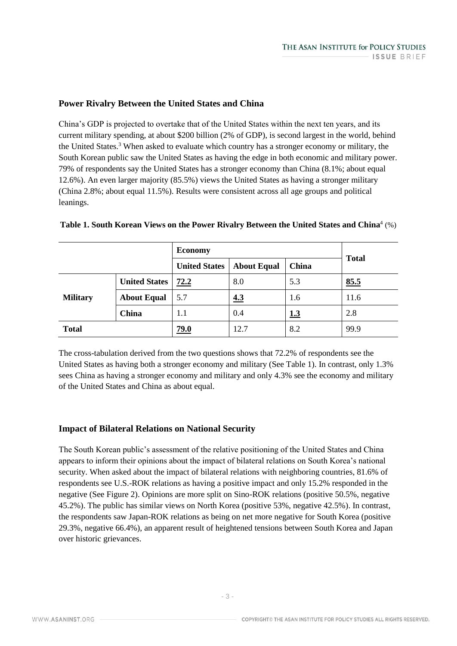# **Power Rivalry Between the United States and China**

China's GDP is projected to overtake that of the United States within the next ten years, and its current military spending, at about \$200 billion (2% of GDP), is second largest in the world, behind the United States.<sup>3</sup> When asked to evaluate which country has a stronger economy or military, the South Korean public saw the United States as having the edge in both economic and military power. 79% of respondents say the United States has a stronger economy than China (8.1%; about equal 12.6%). An even larger majority (85.5%) views the United States as having a stronger military (China 2.8%; about equal 11.5%). Results were consistent across all age groups and political leanings.

|                 |                      | <b>Economy</b>       |                    |            | <b>Total</b> |
|-----------------|----------------------|----------------------|--------------------|------------|--------------|
|                 |                      | <b>United States</b> | <b>About Equal</b> | China      |              |
| <b>Military</b> | <b>United States</b> | 72.2                 | 8.0                | 5.3        | 85.5         |
|                 | <b>About Equal</b>   | 5.7                  | 4.3                | 1.6        | 11.6         |
|                 | China                | 1.1                  | 0.4                | <u>1.3</u> | 2.8          |
| <b>Total</b>    |                      | 79.0                 | 12.7               | 8.2        | 99.9         |

### Table 1. South Korean Views on the Power Rivalry Between the United States and China<sup>4</sup> (%)

The cross-tabulation derived from the two questions shows that 72.2% of respondents see the United States as having both a stronger economy and military (See Table 1). In contrast, only 1.3% sees China as having a stronger economy and military and only 4.3% see the economy and military of the United States and China as about equal.

#### **Impact of Bilateral Relations on National Security**

The South Korean public's assessment of the relative positioning of the United States and China appears to inform their opinions about the impact of bilateral relations on South Korea's national security. When asked about the impact of bilateral relations with neighboring countries, 81.6% of respondents see U.S.-ROK relations as having a positive impact and only 15.2% responded in the negative (See Figure 2). Opinions are more split on Sino-ROK relations (positive 50.5%, negative 45.2%). The public has similar views on North Korea (positive 53%, negative 42.5%). In contrast, the respondents saw Japan-ROK relations as being on net more negative for South Korea (positive 29.3%, negative 66.4%), an apparent result of heightened tensions between South Korea and Japan over historic grievances.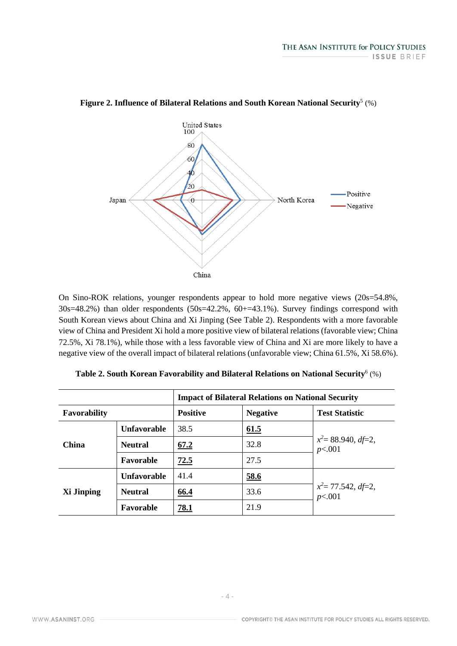

## Figure 2. Influence of Bilateral Relations and South Korean National Security<sup>5</sup> (%)

On Sino-ROK relations, younger respondents appear to hold more negative views (20s=54.8%, 30s=48.2%) than older respondents (50s=42.2%, 60+=43.1%). Survey findings correspond with South Korean views about China and Xi Jinping (See Table 2). Respondents with a more favorable view of China and President Xi hold a more positive view of bilateral relations (favorable view; China 72.5%, Xi 78.1%), while those with a less favorable view of China and Xi are more likely to have a negative view of the overall impact of bilateral relations (unfavorable view; China 61.5%, Xi 58.6%).

|                     |                    | <b>Impact of Bilateral Relations on National Security</b> |                 |                                 |  |
|---------------------|--------------------|-----------------------------------------------------------|-----------------|---------------------------------|--|
| <b>Favorability</b> |                    | <b>Positive</b>                                           | <b>Negative</b> | <b>Test Statistic</b>           |  |
| China               | <b>Unfavorable</b> | 38.5                                                      | 61.5            |                                 |  |
|                     | <b>Neutral</b>     | 67.2                                                      | 32.8            | $x^2 = 88.940, df=2,$<br>p<.001 |  |
|                     | Favorable          | 72.5                                                      | 27.5            |                                 |  |
| Xi Jinping          | <b>Unfavorable</b> | 41.4                                                      | <u>58.6</u>     | $x^2 = 77.542, df=2,$<br>p<.001 |  |
|                     | <b>Neutral</b>     | 66.4                                                      | 33.6            |                                 |  |
|                     | Favorable          | 78.1                                                      | 21.9            |                                 |  |

**Table 2. South Korean Favorability and Bilateral Relations on National Security**<sup>6</sup> (%)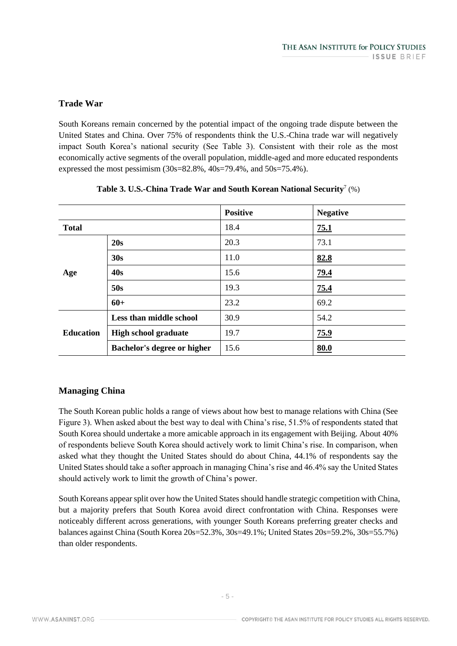# **Trade War**

South Koreans remain concerned by the potential impact of the ongoing trade dispute between the United States and China. Over 75% of respondents think the U.S.-China trade war will negatively impact South Korea's national security (See Table 3). Consistent with their role as the most economically active segments of the overall population, middle-aged and more educated respondents expressed the most pessimism (30s=82.8%, 40s=79.4%, and 50s=75.4%).

|                  |                                    | <b>Positive</b> | <b>Negative</b> |
|------------------|------------------------------------|-----------------|-----------------|
| <b>Total</b>     |                                    | 18.4            | 75.1            |
| Age              | 20s                                | 20.3            | 73.1            |
|                  | 30s                                | 11.0            | 82.8            |
|                  | 40s                                | 15.6            | 79.4            |
|                  | 50s                                | 19.3            | 75.4            |
|                  | $60+$                              | 23.2            | 69.2            |
| <b>Education</b> | Less than middle school            | 30.9            | 54.2            |
|                  | <b>High school graduate</b>        | 19.7            | 75.9            |
|                  | <b>Bachelor's degree or higher</b> | 15.6            | 80.0            |

# **Managing China**

The South Korean public holds a range of views about how best to manage relations with China (See Figure 3). When asked about the best way to deal with China's rise, 51.5% of respondents stated that South Korea should undertake a more amicable approach in its engagement with Beijing. About 40% of respondents believe South Korea should actively work to limit China's rise. In comparison, when asked what they thought the United States should do about China, 44.1% of respondents say the United States should take a softer approach in managing China's rise and 46.4% say the United States should actively work to limit the growth of China's power.

South Koreans appear split over how the United States should handle strategic competition with China, but a majority prefers that South Korea avoid direct confrontation with China. Responses were noticeably different across generations, with younger South Koreans preferring greater checks and balances against China (South Korea 20s=52.3%, 30s=49.1%; United States 20s=59.2%, 30s=55.7%) than older respondents.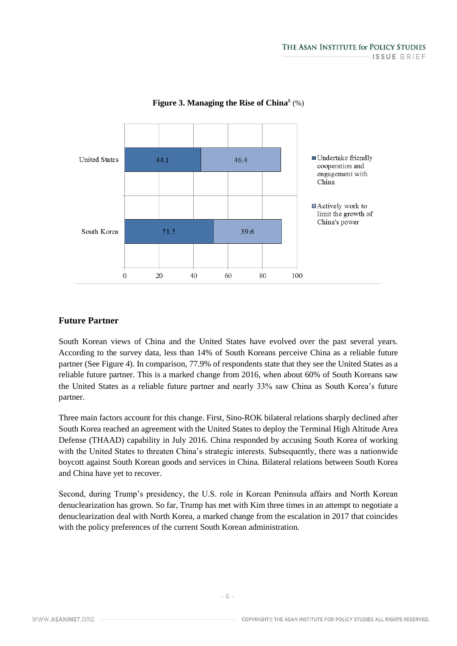

### Figure 3. Managing the Rise of China<sup>8</sup> (%)

# **Future Partner**

South Korean views of China and the United States have evolved over the past several years. According to the survey data, less than 14% of South Koreans perceive China as a reliable future partner (See Figure 4). In comparison, 77.9% of respondents state that they see the United States as a reliable future partner. This is a marked change from 2016, when about 60% of South Koreans saw the United States as a reliable future partner and nearly 33% saw China as South Korea's future partner.

Three main factors account for this change. First, Sino-ROK bilateral relations sharply declined after South Korea reached an agreement with the United States to deploy the Terminal High Altitude Area Defense (THAAD) capability in July 2016. China responded by accusing South Korea of working with the United States to threaten China's strategic interests. Subsequently, there was a nationwide boycott against South Korean goods and services in China. Bilateral relations between South Korea and China have yet to recover.

Second, during Trump's presidency, the U.S. role in Korean Peninsula affairs and North Korean denuclearization has grown. So far, Trump has met with Kim three times in an attempt to negotiate a denuclearization deal with North Korea, a marked change from the escalation in 2017 that coincides with the policy preferences of the current South Korean administration.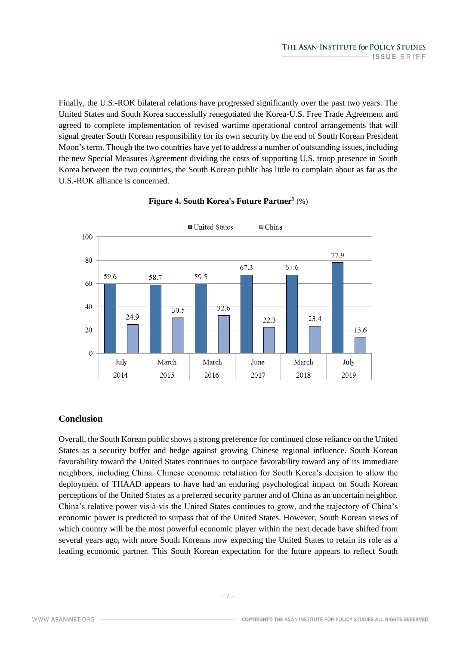Finally, the U.S.-ROK bilateral relations have progressed significantly over the past two years. The United States and South Korea successfully renegotiated the Korea-U.S. Free Trade Agreement and agreed to complete implementation of revised wartime operational control arrangements that will signal greater South Korean responsibility for its own security by the end of South Korean President Moon's term. Though the two countries have yet to address a number of outstanding issues, including the new Special Measures Agreement dividing the costs of supporting U.S. troop presence in South Korea between the two countries, the South Korean public has little to complain about as far as the U.S.-ROK alliance is concerned.



# Figure 4. South Korea's Future Partner<sup>9</sup> (%)

# **Conclusion**

Overall, the South Korean public shows a strong preference for continued close reliance on the United States as a security buffer and hedge against growing Chinese regional influence. South Korean favorability toward the United States continues to outpace favorability toward any of its immediate neighbors, including China. Chinese economic retaliation for South Korea's decision to allow the deployment of THAAD appears to have had an enduring psychological impact on South Korean perceptions of the United States as a preferred security partner and of China as an uncertain neighbor. China's relative power vis-à-vis the United States continues to grow, and the trajectory of China's economic power is predicted to surpass that of the United States. However, South Korean views of which country will be the most powerful economic player within the next decade have shifted from several years ago, with more South Koreans now expecting the United States to retain its role as a leading economic partner. This South Korean expectation for the future appears to reflect South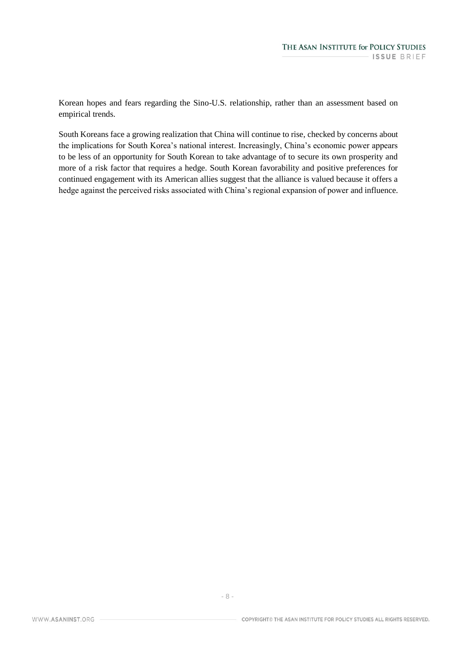Korean hopes and fears regarding the Sino-U.S. relationship, rather than an assessment based on empirical trends.

South Koreans face a growing realization that China will continue to rise, checked by concerns about the implications for South Korea's national interest. Increasingly, China's economic power appears to be less of an opportunity for South Korean to take advantage of to secure its own prosperity and more of a risk factor that requires a hedge. South Korean favorability and positive preferences for continued engagement with its American allies suggest that the alliance is valued because it offers a hedge against the perceived risks associated with China's regional expansion of power and influence.